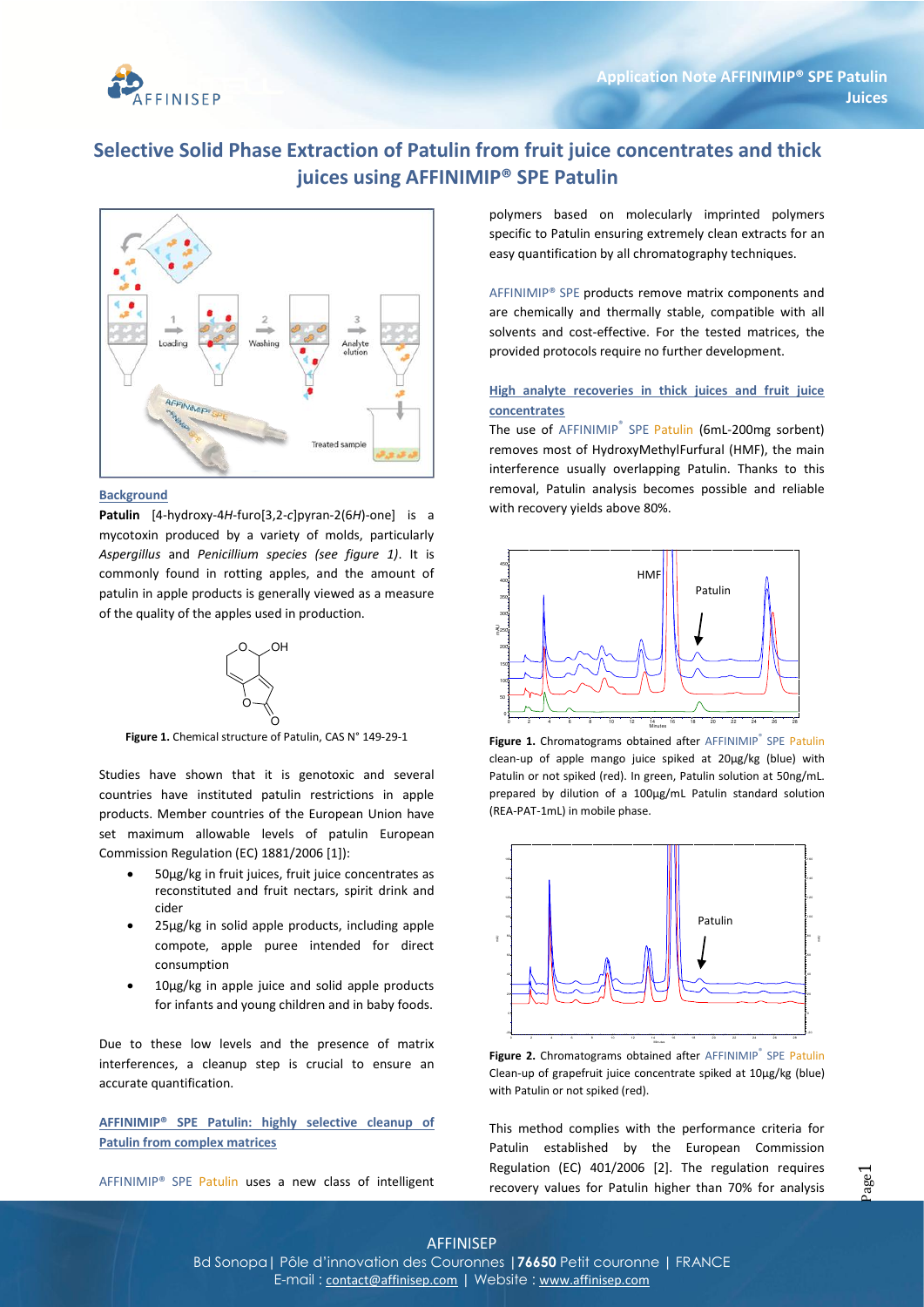

# **Selective Solid Phase Extraction of Patulin from fruit juice concentrates and thick juices using AFFINIMIP® SPE Patulin**



#### **Background**

**Patulin** [4-hydroxy-4*H*-furo[3,2-*c*]pyran-2(6*H*)-one] is a mycotoxin produced by a variety of molds, particularly *Aspergillus* and *Penicillium species (see figure 1)*. It is commonly found in rotting apples, and the amount of patulin in apple products is generally viewed as a measure of the quality of the apples used in production.



**Figure 1.** Chemical structure of Patulin, CAS N° 149-29-1

Studies have shown that it is genotoxic and several countries have instituted patulin restrictions in apple products. Member countries of the European Union have set maximum allowable levels of patulin European Commission Regulation (EC) 1881/2006 [1]):

- 50µg/kg in fruit juices, fruit juice concentrates as reconstituted and fruit nectars, spirit drink and cider
- 25µg/kg in solid apple products, including apple compote, apple puree intended for direct consumption
- 10µg/kg in apple juice and solid apple products for infants and young children and in baby foods.

Due to these low levels and the presence of matrix interferences, a cleanup step is crucial to ensure an accurate quantification.

**AFFINIMIP® SPE Patulin: highly selective cleanup of Patulin from complex matrices**

AFFINIMIP® SPE Patulin uses a new class of intelligent

polymers based on molecularly imprinted polymers specific to Patulin ensuring extremely clean extracts for an easy quantification by all chromatography techniques.

AFFINIMIP® SPE products remove matrix components and are chemically and thermally stable, compatible with all solvents and cost-effective. For the tested matrices, the provided protocols require no further development.

### **High analyte recoveries in thick juices and fruit juice concentrates**

The use of AFFINIMIP<sup>®</sup> SPE Patulin (6mL-200mg sorbent) removes most of HydroxyMethylFurfural (HMF), the main interference usually overlapping Patulin. Thanks to this removal, Patulin analysis becomes possible and reliable with recovery yields above 80%.



Figure 1. Chromatograms obtained after AFFINIMIP<sup>®</sup> SPE Patulin clean-up of apple mango juice spiked at 20µg/kg (blue) with Patulin or not spiked (red). In green, Patulin solution at 50ng/mL. prepared by dilution of a 100µg/mL Patulin standard solution (REA-PAT-1mL) in mobile phase.



Figure 2. Chromatograms obtained after AFFINIMIP® SPE Patulin Clean-up of grapefruit juice concentrate spiked at 10µg/kg (blue) with Patulin or not spiked (red).

This method complies with the performance criteria for Patulin established by the European Commission Regulation (EC) 401/2006 [2]. The regulation requires recovery values for Patulin higher than 70% for analysis

### AFFINISEP

Bd Sonopa**|** Pôle d'innovation des Couronnes **|76650** Petit couronne **|** FRANCE E-mail : contact@affinisep.com **|** Website : www.affinisep.com